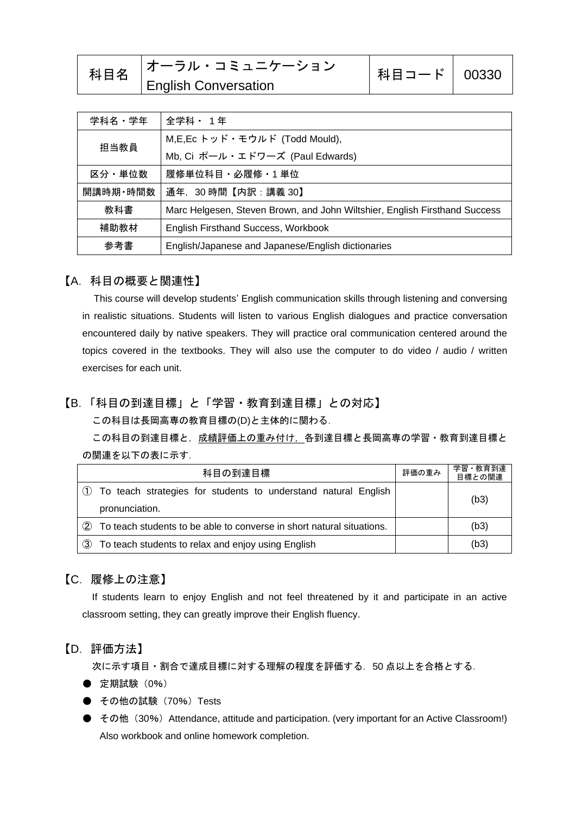| 科目名 | <b> オーラル・コミュニケーション</b>      | 科目コード   00330 |  |
|-----|-----------------------------|---------------|--|
|     | <b>English Conversation</b> |               |  |

| 学科名・学年   | 全学科 ・ 1年                                                                   |  |
|----------|----------------------------------------------------------------------------|--|
| 担当教員     | M,E,Ec トッド・モウルド (Todd Mould),                                              |  |
|          | Mb, Ci ポール・エドワーズ (Paul Edwards)                                            |  |
| 区分・単位数   | 履修単位科目・必履修・1 単位                                                            |  |
| 開講時期・時間数 | 通年, 30時間【内訳:講義 30】                                                         |  |
| 教科書      | Marc Helgesen, Steven Brown, and John Wiltshier, English Firsthand Success |  |
| 補助教材     | English Firsthand Success, Workbook                                        |  |
| 参考書      | English/Japanese and Japanese/English dictionaries                         |  |

## 【A.科目の概要と関連性】

This course will develop students' English communication skills through listening and conversing in realistic situations. Students will listen to various English dialogues and practice conversation encountered daily by native speakers. They will practice oral communication centered around the topics covered in the textbooks. They will also use the computer to do video / audio / written exercises for each unit.

## 【B.「科目の到達目標」と「学習・教育到達目標」との対応】

この科目は長岡高専の教育目標の(D)と主体的に関わる.

この科目の到達目標と, 成績評価上の重み付け, 各到達目標と長岡高専の学習・教育到達目標と の関連を以下の表に示す.

| 科目の到達目標                                                                             |  | 学習・教育到達<br>目標との関連 |
|-------------------------------------------------------------------------------------|--|-------------------|
| 1) To teach strategies for students to understand natural English<br>pronunciation. |  | (b3)              |
| (2)<br>To teach students to be able to converse in short natural situations.        |  | (b3)              |
| $\circled{3}$<br>To teach students to relax and enjoy using English                 |  | (b3)              |

## 【C.履修上の注意】

If students learn to enjoy English and not feel threatened by it and participate in an active classroom setting, they can greatly improve their English fluency.

#### 【D.評価方法】

次に示す項目・割合で達成目標に対する理解の程度を評価する. 50 点以上を合格とする.

- 定期試験 (0%)
- **その他の試験 (70%) Tests**
- その他 (30%) Attendance, attitude and participation. (very important for an Active Classroom!) Also workbook and online homework completion.